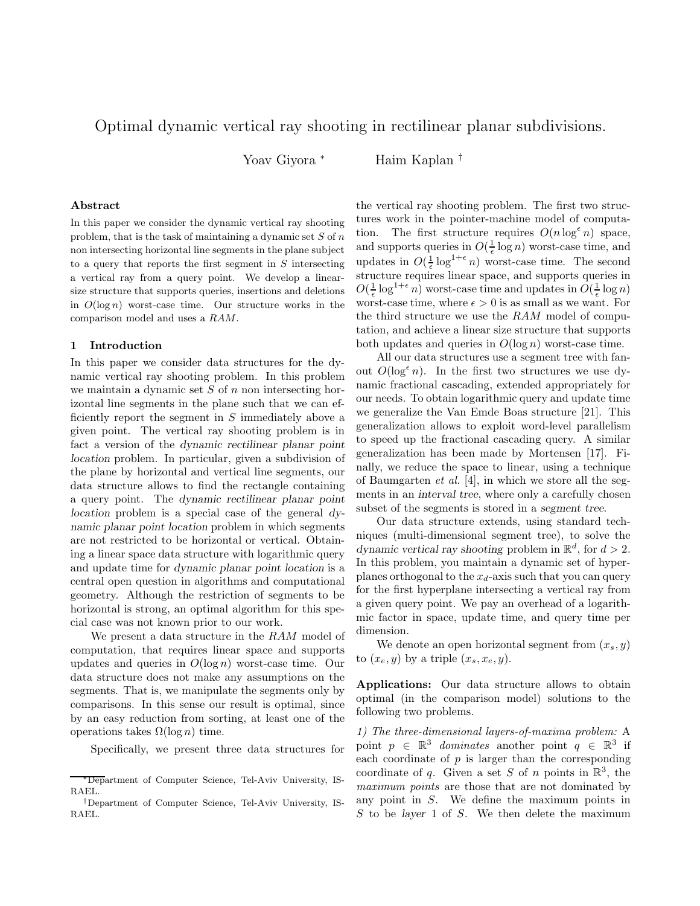# Optimal dynamic vertical ray shooting in rectilinear planar subdivisions.

Yoav Giyora <sup>∗</sup> Haim Kaplan †

## Abstract

In this paper we consider the dynamic vertical ray shooting problem, that is the task of maintaining a dynamic set  $S$  of  $n$ non intersecting horizontal line segments in the plane subject to a query that reports the first segment in  $S$  intersecting a vertical ray from a query point. We develop a linearsize structure that supports queries, insertions and deletions in  $O(\log n)$  worst-case time. Our structure works in the comparison model and uses a RAM.

# 1 Introduction

In this paper we consider data structures for the dynamic vertical ray shooting problem. In this problem we maintain a dynamic set  $S$  of  $n$  non intersecting horizontal line segments in the plane such that we can efficiently report the segment in  $S$  immediately above a given point. The vertical ray shooting problem is in fact a version of the dynamic rectilinear planar point location problem. In particular, given a subdivision of the plane by horizontal and vertical line segments, our data structure allows to find the rectangle containing a query point. The dynamic rectilinear planar point location problem is a special case of the general dynamic planar point location problem in which segments are not restricted to be horizontal or vertical. Obtaining a linear space data structure with logarithmic query and update time for dynamic planar point location is a central open question in algorithms and computational geometry. Although the restriction of segments to be horizontal is strong, an optimal algorithm for this special case was not known prior to our work.

We present a data structure in the RAM model of computation, that requires linear space and supports updates and queries in  $O(\log n)$  worst-case time. Our data structure does not make any assumptions on the segments. That is, we manipulate the segments only by comparisons. In this sense our result is optimal, since by an easy reduction from sorting, at least one of the operations takes  $\Omega(\log n)$  time.

Specifically, we present three data structures for

the vertical ray shooting problem. The first two structures work in the pointer-machine model of computation. The first structure requires  $O(n \log^{\epsilon} n)$  space, and supports queries in  $O(\frac{1}{\epsilon} \log n)$  worst-case time, and updates in  $O(\frac{1}{\epsilon} \log^{1+\epsilon} n)$  worst-case time. The second structure requires linear space, and supports queries in  $O(\frac{1}{\epsilon} \log^{1+\epsilon} n)$  worst-case time and updates in  $O(\frac{1}{\epsilon} \log n)$ worst-case time, where  $\epsilon > 0$  is as small as we want. For the third structure we use the RAM model of computation, and achieve a linear size structure that supports both updates and queries in  $O(\log n)$  worst-case time.

All our data structures use a segment tree with fanout  $O(\log^{\epsilon} n)$ . In the first two structures we use dynamic fractional cascading, extended appropriately for our needs. To obtain logarithmic query and update time we generalize the Van Emde Boas structure [21]. This generalization allows to exploit word-level parallelism to speed up the fractional cascading query. A similar generalization has been made by Mortensen [17]. Finally, we reduce the space to linear, using a technique of Baumgarten *et al.* [4], in which we store all the segments in an interval tree, where only a carefully chosen subset of the segments is stored in a segment tree.

Our data structure extends, using standard techniques (multi-dimensional segment tree), to solve the dynamic vertical ray shooting problem in  $\mathbb{R}^d$ , for  $d > 2$ . In this problem, you maintain a dynamic set of hyperplanes orthogonal to the  $x_d$ -axis such that you can query for the first hyperplane intersecting a vertical ray from a given query point. We pay an overhead of a logarithmic factor in space, update time, and query time per dimension.

We denote an open horizontal segment from  $(x_s, y)$ to  $(x_e, y)$  by a triple  $(x_s, x_e, y)$ .

Applications: Our data structure allows to obtain optimal (in the comparison model) solutions to the following two problems.

1) The three-dimensional layers-of-maxima problem: A point  $p \in \mathbb{R}^3$  dominates another point  $q \in \mathbb{R}^3$  if each coordinate of  $p$  is larger than the corresponding coordinate of q. Given a set S of n points in  $\mathbb{R}^3$ , the maximum points are those that are not dominated by any point in S. We define the maximum points in  $S$  to be layer 1 of  $S$ . We then delete the maximum

<sup>∗</sup>Department of Computer Science, Tel-Aviv University, IS-RAEL.

<sup>†</sup>Department of Computer Science, Tel-Aviv University, IS-RAEL.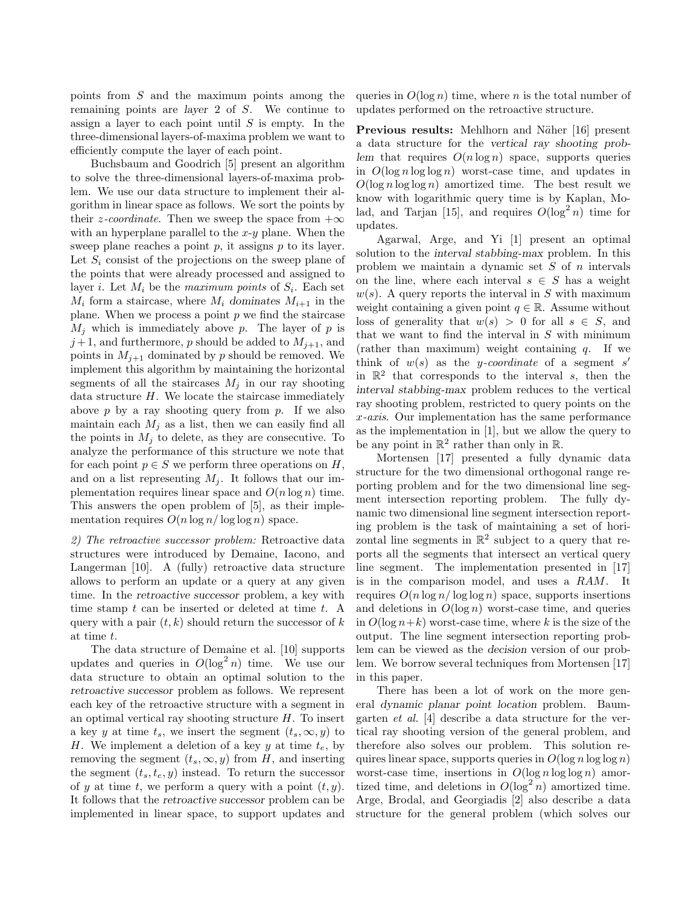points from S and the maximum points among the remaining points are layer 2 of S. We continue to assign a layer to each point until  $S$  is empty. In the three-dimensional layers-of-maxima problem we want to efficiently compute the layer of each point.

Buchsbaum and Goodrich [5] present an algorithm to solve the three-dimensional layers-of-maxima problem. We use our data structure to implement their algorithm in linear space as follows. We sort the points by their *z*-coordinate. Then we sweep the space from  $+\infty$ with an hyperplane parallel to the  $x-y$  plane. When the sweep plane reaches a point  $p$ , it assigns  $p$  to its layer. Let  $S_i$  consist of the projections on the sweep plane of the points that were already processed and assigned to layer *i*. Let  $M_i$  be the maximum points of  $S_i$ . Each set  $M_i$  form a staircase, where  $M_i$  dominates  $M_{i+1}$  in the plane. When we process a point  $p$  we find the staircase  $M_i$  which is immediately above p. The layer of p is  $j+1$ , and furthermore, p should be added to  $M_{j+1}$ , and points in  $M_{i+1}$  dominated by p should be removed. We implement this algorithm by maintaining the horizontal segments of all the staircases  $M_j$  in our ray shooting data structure  $H$ . We locate the staircase immediately above p by a ray shooting query from p. If we also maintain each  $M_i$  as a list, then we can easily find all the points in  $M_i$  to delete, as they are consecutive. To analyze the performance of this structure we note that for each point  $p \in S$  we perform three operations on H, and on a list representing  $M_j$ . It follows that our implementation requires linear space and  $O(n \log n)$  time. This answers the open problem of [5], as their implementation requires  $O(n \log n / \log \log n)$  space.

2) The retroactive successor problem: Retroactive data structures were introduced by Demaine, Iacono, and Langerman [10]. A (fully) retroactive data structure allows to perform an update or a query at any given time. In the retroactive successor problem, a key with time stamp  $t$  can be inserted or deleted at time  $t$ . A query with a pair  $(t, k)$  should return the successor of k at time t.

The data structure of Demaine et al. [10] supports updates and queries in  $O(\log^2 n)$  time. We use our data structure to obtain an optimal solution to the retroactive successor problem as follows. We represent each key of the retroactive structure with a segment in an optimal vertical ray shooting structure  $H$ . To insert a key y at time  $t_s$ , we insert the segment  $(t_s, \infty, y)$  to H. We implement a deletion of a key y at time  $t_e$ , by removing the segment  $(t_s, \infty, y)$  from H, and inserting the segment  $(t_s, t_e, y)$  instead. To return the successor of y at time t, we perform a query with a point  $(t, y)$ . It follows that the retroactive successor problem can be implemented in linear space, to support updates and queries in  $O(\log n)$  time, where n is the total number of updates performed on the retroactive structure.

Previous results: Mehlhorn and Näher [16] present a data structure for the vertical ray shooting problem that requires  $O(n \log n)$  space, supports queries in  $O(\log n \log \log n)$  worst-case time, and updates in  $O(\log n \log \log n)$  amortized time. The best result we know with logarithmic query time is by Kaplan, Molad, and Tarjan [15], and requires  $O(\log^2 n)$  time for updates.

Agarwal, Arge, and Yi [1] present an optimal solution to the interval stabbing-max problem. In this problem we maintain a dynamic set  $S$  of  $n$  intervals on the line, where each interval  $s \in S$  has a weight  $w(s)$ . A query reports the interval in S with maximum weight containing a given point  $q \in \mathbb{R}$ . Assume without loss of generality that  $w(s) > 0$  for all  $s \in S$ , and that we want to find the interval in  $S$  with minimum (rather than maximum) weight containing  $q$ . If we think of  $w(s)$  as the y-coordinate of a segment s' in  $\mathbb{R}^2$  that corresponds to the interval s, then the interval stabbing-max problem reduces to the vertical ray shooting problem, restricted to query points on the x-axis. Our implementation has the same performance as the implementation in [1], but we allow the query to be any point in  $\mathbb{R}^2$  rather than only in  $\mathbb{R}$ .

Mortensen [17] presented a fully dynamic data structure for the two dimensional orthogonal range reporting problem and for the two dimensional line segment intersection reporting problem. The fully dynamic two dimensional line segment intersection reporting problem is the task of maintaining a set of horizontal line segments in  $\mathbb{R}^2$  subject to a query that reports all the segments that intersect an vertical query line segment. The implementation presented in [17] is in the comparison model, and uses a RAM. It requires  $O(n \log n / \log \log n)$  space, supports insertions and deletions in  $O(\log n)$  worst-case time, and queries in  $O(\log n+k)$  worst-case time, where k is the size of the output. The line segment intersection reporting problem can be viewed as the decision version of our problem. We borrow several techniques from Mortensen [17] in this paper.

There has been a lot of work on the more general dynamic planar point location problem. Baumgarten et al. [4] describe a data structure for the vertical ray shooting version of the general problem, and therefore also solves our problem. This solution requires linear space, supports queries in  $O(\log n \log \log n)$ worst-case time, insertions in  $O(\log n \log \log n)$  amortized time, and deletions in  $O(\log^2 n)$  amortized time. Arge, Brodal, and Georgiadis [2] also describe a data structure for the general problem (which solves our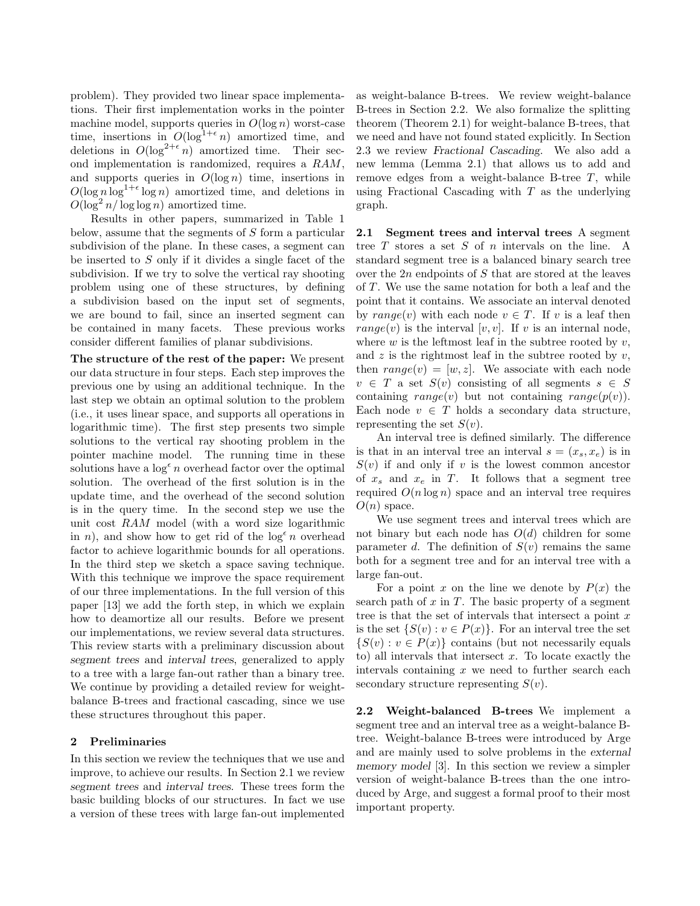problem). They provided two linear space implementations. Their first implementation works in the pointer machine model, supports queries in  $O(\log n)$  worst-case time, insertions in  $O(\log^{1+\epsilon} n)$  amortized time, and deletions in  $O(\log^{2+\epsilon} n)$  amortized time. Their second implementation is randomized, requires a RAM, and supports queries in  $O(\log n)$  time, insertions in  $O(\log n \log^{1+\epsilon} \log n)$  amortized time, and deletions in  $O(\log^2 n/\log\log n)$  amortized time.

Results in other papers, summarized in Table 1 below, assume that the segments of S form a particular subdivision of the plane. In these cases, a segment can be inserted to S only if it divides a single facet of the subdivision. If we try to solve the vertical ray shooting problem using one of these structures, by defining a subdivision based on the input set of segments, we are bound to fail, since an inserted segment can be contained in many facets. These previous works consider different families of planar subdivisions.

The structure of the rest of the paper: We present our data structure in four steps. Each step improves the previous one by using an additional technique. In the last step we obtain an optimal solution to the problem (i.e., it uses linear space, and supports all operations in logarithmic time). The first step presents two simple solutions to the vertical ray shooting problem in the pointer machine model. The running time in these solutions have a  $\log^{\epsilon} n$  overhead factor over the optimal solution. The overhead of the first solution is in the update time, and the overhead of the second solution is in the query time. In the second step we use the unit cost RAM model (with a word size logarithmic in n), and show how to get rid of the  $\log^{\epsilon} n$  overhead factor to achieve logarithmic bounds for all operations. In the third step we sketch a space saving technique. With this technique we improve the space requirement of our three implementations. In the full version of this paper [13] we add the forth step, in which we explain how to deamortize all our results. Before we present our implementations, we review several data structures. This review starts with a preliminary discussion about segment trees and interval trees, generalized to apply to a tree with a large fan-out rather than a binary tree. We continue by providing a detailed review for weightbalance B-trees and fractional cascading, since we use these structures throughout this paper.

# 2 Preliminaries

In this section we review the techniques that we use and improve, to achieve our results. In Section 2.1 we review segment trees and interval trees. These trees form the basic building blocks of our structures. In fact we use a version of these trees with large fan-out implemented

as weight-balance B-trees. We review weight-balance B-trees in Section 2.2. We also formalize the splitting theorem (Theorem 2.1) for weight-balance B-trees, that we need and have not found stated explicitly. In Section 2.3 we review Fractional Cascading. We also add a new lemma (Lemma 2.1) that allows us to add and remove edges from a weight-balance B-tree  $T$ , while using Fractional Cascading with  $T$  as the underlying graph.

2.1 Segment trees and interval trees A segment tree  $T$  stores a set  $S$  of  $n$  intervals on the line. A standard segment tree is a balanced binary search tree over the  $2n$  endpoints of S that are stored at the leaves of  $T$ . We use the same notation for both a leaf and the point that it contains. We associate an interval denoted by range(v) with each node  $v \in T$ . If v is a leaf then  $range(v)$  is the interval  $[v, v]$ . If v is an internal node, where  $w$  is the leftmost leaf in the subtree rooted by  $v$ , and  $z$  is the rightmost leaf in the subtree rooted by  $v$ , then  $range(v) = [w, z]$ . We associate with each node  $v \in T$  a set  $S(v)$  consisting of all segments  $s \in S$ containing range(v) but not containing range( $p(v)$ ). Each node  $v \in T$  holds a secondary data structure, representing the set  $S(v)$ .

An interval tree is defined similarly. The difference is that in an interval tree an interval  $s = (x_s, x_e)$  is in  $S(v)$  if and only if v is the lowest common ancestor of  $x_s$  and  $x_e$  in T. It follows that a segment tree required  $O(n \log n)$  space and an interval tree requires  $O(n)$  space.

We use segment trees and interval trees which are not binary but each node has  $O(d)$  children for some parameter d. The definition of  $S(v)$  remains the same both for a segment tree and for an interval tree with a large fan-out.

For a point x on the line we denote by  $P(x)$  the search path of  $x$  in  $T$ . The basic property of a segment tree is that the set of intervals that intersect a point  $x$ is the set  $\{S(v): v \in P(x)\}.$  For an interval tree the set  $\{S(v): v \in P(x)\}\)$  contains (but not necessarily equals to) all intervals that intersect  $x$ . To locate exactly the intervals containing  $x$  we need to further search each secondary structure representing  $S(v)$ .

2.2 Weight-balanced B-trees We implement a segment tree and an interval tree as a weight-balance Btree. Weight-balance B-trees were introduced by Arge and are mainly used to solve problems in the external memory model [3]. In this section we review a simpler version of weight-balance B-trees than the one introduced by Arge, and suggest a formal proof to their most important property.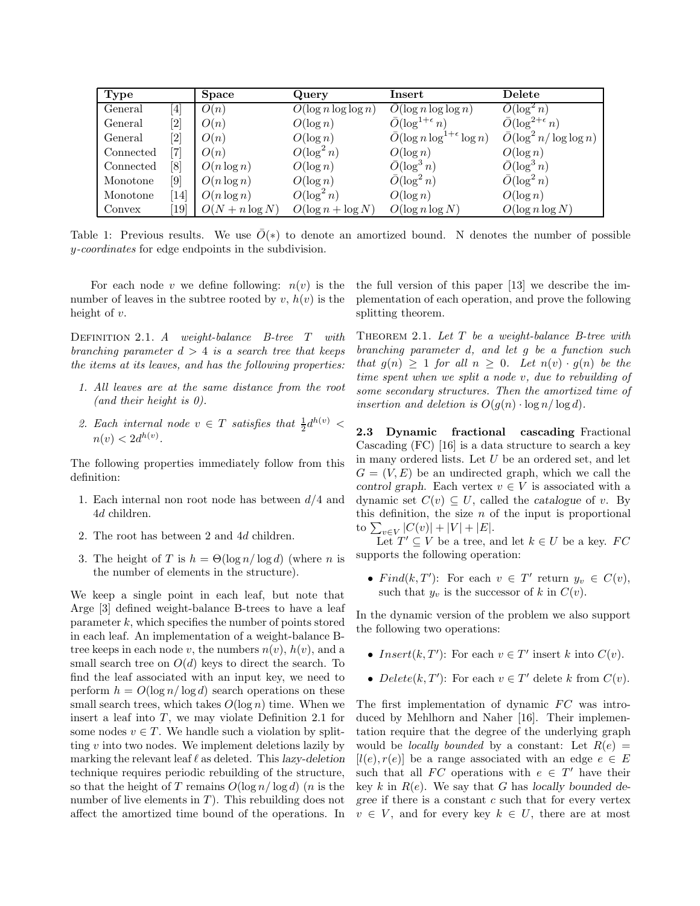| Type      |                              | Space             | Query                   | Insert                                          | Delete                                 |
|-----------|------------------------------|-------------------|-------------------------|-------------------------------------------------|----------------------------------------|
| General   | $\left[ 4 \right]$           | O(n)              | $O(\log n \log \log n)$ | $O(\log n \log \log n)$                         | $\bar{O}(\log^2 n)$                    |
| General   | $\left\lceil 2 \right\rceil$ | O(n)              | $O(\log n)$             | $\bar{O}(\log^{1+\epsilon} n)$                  | $\bar{O}(\log^{2+\epsilon} n)$         |
| General   | $\left\lceil 2 \right\rceil$ | O(n)              | $O(\log n)$             | $\overline{O}(\log n \log^{1+\epsilon} \log n)$ | $\overline{O}(\log^2 n / \log \log n)$ |
| Connected | 7]                           | O(n)              | $O(\log^2 n)$           | $O(\log n)$                                     | $O(\log n)$                            |
| Connected | [8]                          | $O(n \log n)$     | $O(\log n)$             | $\bar{O}(\log^3 n)$                             | $\bar{O}(\log^3 n)$                    |
| Monotone  | [9]                          | $O(n \log n)$     | $O(\log n)$             | $\bar{O}(\log^2 n)$                             | $\bar{O}(\log^2 n)$                    |
| Monotone  | $\lceil 14 \rceil$           | $O(n \log n)$     | $O(\log^2 n)$           | $O(\log n)$                                     | $O(\log n)$                            |
| Convex    | [19]                         | $O(N + n \log N)$ | $O(\log n + \log N)$    | $O(\log n \log N)$                              | $O(\log n \log N)$                     |

Table 1: Previous results. We use  $\overline{O}(*)$  to denote an amortized bound. N denotes the number of possible y-coordinates for edge endpoints in the subdivision.

For each node v we define following:  $n(v)$  is the number of leaves in the subtree rooted by v,  $h(v)$  is the height of v.

DEFINITION 2.1. A weight-balance B-tree  $T$  with branching parameter  $d > 4$  is a search tree that keeps the items at its leaves, and has the following properties:

- 1. All leaves are at the same distance from the root (and their height is  $\theta$ ).
- 2. Each internal node  $v \in T$  satisfies that  $\frac{1}{2}d^{h(v)} <$  $n(v) < 2d^{h(v)}$ .

The following properties immediately follow from this definition:

- 1. Each internal non root node has between  $d/4$  and 4d children.
- 2. The root has between 2 and 4d children.
- 3. The height of T is  $h = \Theta(\log n / \log d)$  (where n is the number of elements in the structure).

We keep a single point in each leaf, but note that Arge [3] defined weight-balance B-trees to have a leaf  $parameter k$ , which specifies the number of points stored in each leaf. An implementation of a weight-balance Btree keeps in each node v, the numbers  $n(v)$ ,  $h(v)$ , and a small search tree on  $O(d)$  keys to direct the search. To find the leaf associated with an input key, we need to perform  $h = O(\log n / \log d)$  search operations on these small search trees, which takes  $O(\log n)$  time. When we insert a leaf into  $T$ , we may violate Definition 2.1 for some nodes  $v \in T$ . We handle such a violation by splitting  $v$  into two nodes. We implement deletions lazily by marking the relevant leaf  $\ell$  as deleted. This lazy-deletion technique requires periodic rebuilding of the structure, so that the height of T remains  $O(\log n/\log d)$  (*n* is the number of live elements in  $T$ ). This rebuilding does not affect the amortized time bound of the operations. In

the full version of this paper [13] we describe the implementation of each operation, and prove the following splitting theorem.

THEOREM 2.1. Let  $T$  be a weight-balance  $B$ -tree with branching parameter d, and let g be a function such that  $g(n) \geq 1$  for all  $n \geq 0$ . Let  $n(v) \cdot g(n)$  be the time spent when we split a node v, due to rebuilding of some secondary structures. Then the amortized time of insertion and deletion is  $O(q(n) \cdot \log n / \log d)$ .

2.3 Dynamic fractional cascading Fractional Cascading (FC) [16] is a data structure to search a key in many ordered lists. Let  $U$  be an ordered set, and let  $G = (V, E)$  be an undirected graph, which we call the control graph. Each vertex  $v \in V$  is associated with a dynamic set  $C(v) \subseteq U$ , called the *catalogue* of v. By this definition, the size  $n$  of the input is proportional to  $\sum_{v \in V} |C(v)| + |V| + |E|.$ 

Let  $T' \subseteq V$  be a tree, and let  $k \in U$  be a key.  $FC$ supports the following operation:

• Find(k, T'): For each  $v \in T'$  return  $y_v \in C(v)$ , such that  $y_v$  is the successor of k in  $C(v)$ .

In the dynamic version of the problem we also support the following two operations:

- Insert $(k, T')$ : For each  $v \in T'$  insert k into  $C(v)$ .
- Delete $(k, T')$ : For each  $v \in T'$  delete k from  $C(v)$ .

The first implementation of dynamic  $FC$  was introduced by Mehlhorn and Naher [16]. Their implementation require that the degree of the underlying graph would be *locally bounded* by a constant: Let  $R(e)$  =  $[l(e), r(e)]$  be a range associated with an edge  $e \in E$ such that all  $FC$  operations with  $e \in T'$  have their key k in  $R(e)$ . We say that G has locally bounded degree if there is a constant c such that for every vertex  $v \in V$ , and for every key  $k \in U$ , there are at most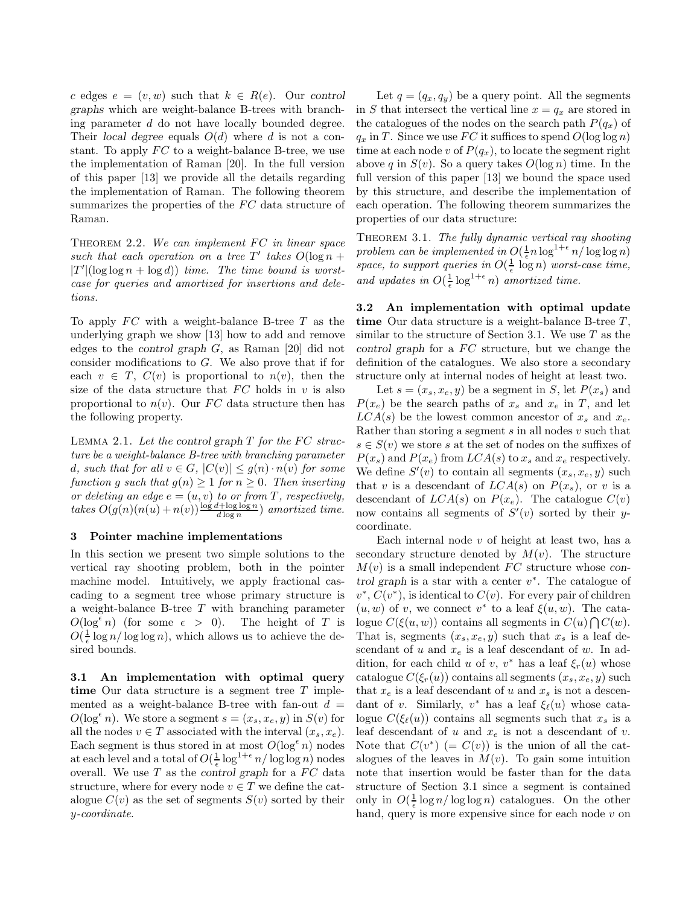c edges  $e = (v, w)$  such that  $k \in R(e)$ . Our control graphs which are weight-balance B-trees with branching parameter d do not have locally bounded degree. Their local degree equals  $O(d)$  where d is not a constant. To apply  $FC$  to a weight-balance B-tree, we use the implementation of Raman [20]. In the full version of this paper [13] we provide all the details regarding the implementation of Raman. The following theorem summarizes the properties of the  $FC$  data structure of Raman.

THEOREM  $2.2$ . We can implement FC in linear space such that each operation on a tree  $T'$  takes  $O(\log n +$  $|T'|(\log \log n + \log d))$  time. The time bound is worstcase for queries and amortized for insertions and deletions.

To apply  $FC$  with a weight-balance B-tree  $T$  as the underlying graph we show [13] how to add and remove edges to the control graph G, as Raman [20] did not consider modifications to G. We also prove that if for each  $v \in T$ ,  $C(v)$  is proportional to  $n(v)$ , then the size of the data structure that  $FC$  holds in v is also proportional to  $n(v)$ . Our FC data structure then has the following property.

LEMMA 2.1. Let the control graph  $T$  for the  $FC$  structure be a weight-balance B-tree with branching parameter d, such that for all  $v \in G$ ,  $|C(v)| \leq g(n) \cdot n(v)$  for some function g such that  $g(n) \geq 1$  for  $n \geq 0$ . Then inserting or deleting an edge  $e = (u, v)$  to or from T, respectively, takes  $O(g(n)(n(u) + n(v))\frac{\log d + \log \log n}{d \log n})$  amortized time.

#### 3 Pointer machine implementations

In this section we present two simple solutions to the vertical ray shooting problem, both in the pointer machine model. Intuitively, we apply fractional cascading to a segment tree whose primary structure is a weight-balance B-tree T with branching parameter  $O(\log^{\epsilon} n)$  (for some  $\epsilon > 0$ ). The height of T is  $O(\frac{1}{\epsilon} \log n / \log \log n)$ , which allows us to achieve the desired bounds.

3.1 An implementation with optimal query time Our data structure is a segment tree  $T$  implemented as a weight-balance B-tree with fan-out  $d =$  $O(\log^{\epsilon} n)$ . We store a segment  $s = (x_s, x_e, y)$  in  $S(v)$  for all the nodes  $v \in T$  associated with the interval  $(x_s, x_e)$ . Each segment is thus stored in at most  $O(\log^{\epsilon} n)$  nodes at each level and a total of  $O(\frac{1}{\epsilon} \log^{1+\epsilon} n / \log \log n)$  nodes overall. We use  $T$  as the control graph for a  $FC$  data structure, where for every node  $v \in T$  we define the catalogue  $C(v)$  as the set of segments  $S(v)$  sorted by their y-coordinate.

Let  $q = (q_x, q_y)$  be a query point. All the segments in S that intersect the vertical line  $x = q_x$  are stored in the catalogues of the nodes on the search path  $P(q_x)$  of  $q_x$  in T. Since we use FC it suffices to spend  $O(\log \log n)$ time at each node v of  $P(q_x)$ , to locate the segment right above q in  $S(v)$ . So a query takes  $O(\log n)$  time. In the full version of this paper [13] we bound the space used by this structure, and describe the implementation of each operation. The following theorem summarizes the properties of our data structure:

THEOREM 3.1. The fully dynamic vertical ray shooting problem can be implemented in  $O(\frac{1}{\epsilon}n\log^{1+\epsilon} n/\log\log n)$ space, to support queries in  $O(\frac{1}{\epsilon} \log n)$  worst-case time, and updates in  $O(\frac{1}{\epsilon} \log^{1+\epsilon} n)$  amortized time.

3.2 An implementation with optimal update time Our data structure is a weight-balance B-tree  $T$ , similar to the structure of Section 3.1. We use  $T$  as the control graph for a  $FC$  structure, but we change the definition of the catalogues. We also store a secondary structure only at internal nodes of height at least two.

Let  $s = (x_s, x_e, y)$  be a segment in S, let  $P(x_s)$  and  $P(x_e)$  be the search paths of  $x_s$  and  $x_e$  in T, and let  $LCA(s)$  be the lowest common ancestor of  $x_s$  and  $x_e$ . Rather than storing a segment  $s$  in all nodes  $v$  such that  $s \in S(v)$  we store s at the set of nodes on the suffixes of  $P(x_s)$  and  $P(x_e)$  from  $LCA(s)$  to  $x_s$  and  $x_e$  respectively. We define  $S'(v)$  to contain all segments  $(x_s, x_e, y)$  such that v is a descendant of  $LCA(s)$  on  $P(x_s)$ , or v is a descendant of  $LCA(s)$  on  $P(x_e)$ . The catalogue  $C(v)$ now contains all segments of  $S'(v)$  sorted by their ycoordinate.

Each internal node  $v$  of height at least two, has a secondary structure denoted by  $M(v)$ . The structure  $M(v)$  is a small independent FC structure whose control graph is a star with a center  $v^*$ . The catalogue of  $v^*, C(v^*)$ , is identical to  $C(v)$ . For every pair of children  $(u, w)$  of v, we connect v<sup>\*</sup> to a leaf  $\xi(u, w)$ . The catalogue  $C(\xi(u, w))$  contains all segments in  $C(u) \bigcap C(w)$ . That is, segments  $(x_s, x_e, y)$  such that  $x_s$  is a leaf descendant of u and  $x_e$  is a leaf descendant of w. In addition, for each child u of v,  $v^*$  has a leaf  $\xi_r(u)$  whose catalogue  $C(\xi_r(u))$  contains all segments  $(x_s, x_e, y)$  such that  $x_e$  is a leaf descendant of u and  $x_s$  is not a descendant of v. Similarly,  $v^*$  has a leaf  $\xi_{\ell}(u)$  whose catalogue  $C(\xi_{\ell}(u))$  contains all segments such that  $x_s$  is a leaf descendant of u and  $x_e$  is not a descendant of v. Note that  $C(v^*)$  (=  $C(v)$ ) is the union of all the catalogues of the leaves in  $M(v)$ . To gain some intuition note that insertion would be faster than for the data structure of Section 3.1 since a segment is contained only in  $O(\frac{1}{\epsilon} \log n / \log \log n)$  catalogues. On the other hand, query is more expensive since for each node  $v$  on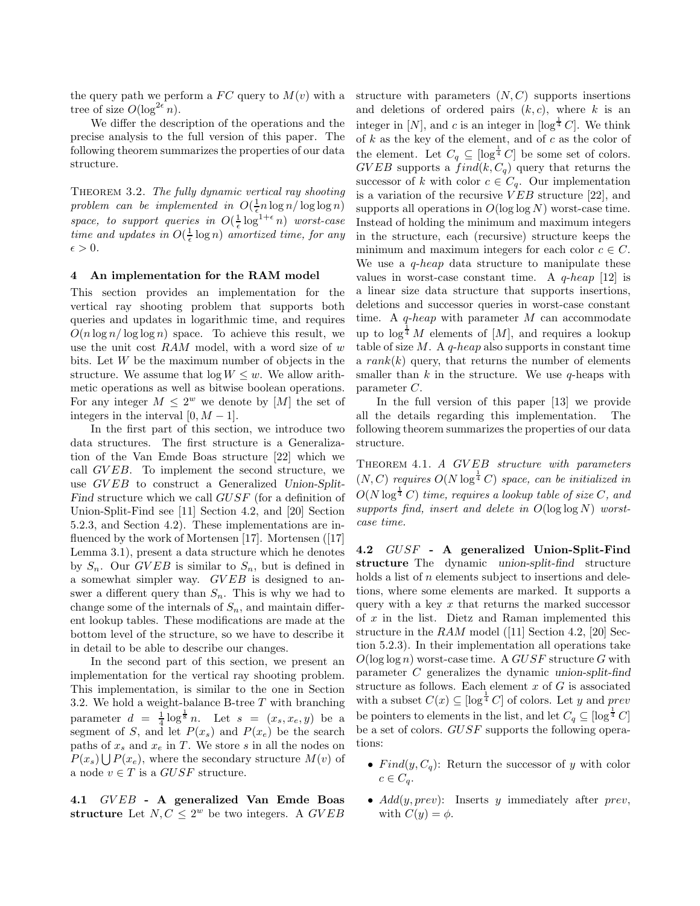the query path we perform a  $FC$  query to  $M(v)$  with a tree of size  $O(\log^{2\epsilon} n)$ .

We differ the description of the operations and the precise analysis to the full version of this paper. The following theorem summarizes the properties of our data structure.

THEOREM 3.2. The fully dynamic vertical ray shooting problem can be implemented in  $O(\frac{1}{\epsilon} n \log n / \log \log n)$ space, to support queries in  $O(\frac{1}{\epsilon} \log^{1+\epsilon} n)$  worst-case time and updates in  $O(\frac{1}{\epsilon} \log n)$  amortized time, for any  $\epsilon > 0$ .

### 4 An implementation for the RAM model

This section provides an implementation for the vertical ray shooting problem that supports both queries and updates in logarithmic time, and requires  $O(n \log n / \log \log n)$  space. To achieve this result, we use the unit cost  $RAM$  model, with a word size of w bits. Let W be the maximum number of objects in the structure. We assume that  $\log W \leq w$ . We allow arithmetic operations as well as bitwise boolean operations. For any integer  $M \leq 2^w$  we denote by [M] the set of integers in the interval  $[0, M - 1]$ .

In the first part of this section, we introduce two data structures. The first structure is a Generalization of the Van Emde Boas structure [22] which we call GV EB. To implement the second structure, we use GVEB to construct a Generalized Union-Split-Find structure which we call GUSF (for a definition of Union-Split-Find see [11] Section 4.2, and [20] Section 5.2.3, and Section 4.2). These implementations are influenced by the work of Mortensen [17]. Mortensen ([17] Lemma 3.1), present a data structure which he denotes by  $S_n$ . Our GVEB is similar to  $S_n$ , but is defined in a somewhat simpler way. GVEB is designed to answer a different query than  $S_n$ . This is why we had to change some of the internals of  $S_n$ , and maintain different lookup tables. These modifications are made at the bottom level of the structure, so we have to describe it in detail to be able to describe our changes.

In the second part of this section, we present an implementation for the vertical ray shooting problem. This implementation, is similar to the one in Section 3.2. We hold a weight-balance B-tree T with branching parameter  $d = \frac{1}{4} \log^{\frac{1}{8}} n$ . Let  $s = (x_s, x_e, y)$  be a segment of S, and let  $P(x_s)$  and  $P(x_e)$  be the search paths of  $x_s$  and  $x_e$  in T. We store s in all the nodes on  $P(x_s) \bigcup P(x_e)$ , where the secondary structure  $M(v)$  of a node  $v \in T$  is a  $GUSF$  structure.

4.1 GV EB - A generalized Van Emde Boas structure Let  $N, C \leq 2^w$  be two integers. A GVEB

structure with parameters  $(N, C)$  supports insertions and deletions of ordered pairs  $(k, c)$ , where k is an integer in [N], and c is an integer in  $[\log^{\frac{1}{4}}C]$ . We think of  $k$  as the key of the element, and of  $c$  as the color of the element. Let  $C_q \subseteq [\log^{\frac{1}{4}} C]$  be some set of colors.  $GVEB$  supports a  $find(k, C_q)$  query that returns the successor of k with color  $c \in C_q$ . Our implementation is a variation of the recursive  $VEB$  structure [22], and supports all operations in  $O(\log \log N)$  worst-case time. Instead of holding the minimum and maximum integers in the structure, each (recursive) structure keeps the minimum and maximum integers for each color  $c \in C$ . We use a  $q$ -heap data structure to manipulate these values in worst-case constant time. A  $q$ -heap [12] is a linear size data structure that supports insertions, deletions and successor queries in worst-case constant time. A  $q$ -heap with parameter  $M$  can accommodate up to  $\log^{\frac{1}{4}} M$  elements of [M], and requires a lookup table of size  $M$ . A q-heap also supports in constant time a  $rank(k)$  query, that returns the number of elements smaller than  $k$  in the structure. We use  $q$ -heaps with parameter C.

In the full version of this paper [13] we provide all the details regarding this implementation. The following theorem summarizes the properties of our data structure.

THEOREM 4.1. A GVEB structure with parameters  $(N, C)$  requires  $O(N \log^{\frac{1}{4}} C)$  space, can be initialized in  $O(N \log^{\frac{1}{4}} C)$  time, requires a lookup table of size C, and supports find, insert and delete in  $O(\log \log N)$  worstcase time.

4.2 GUSF - A generalized Union-Split-Find structure The dynamic union-split-find structure holds a list of  $n$  elements subject to insertions and deletions, where some elements are marked. It supports a query with a key  $x$  that returns the marked successor of  $x$  in the list. Dietz and Raman implemented this structure in the  $RAM$  model ([11] Section 4.2, [20] Section 5.2.3). In their implementation all operations take  $O(\log \log n)$  worst-case time. A  $GUSF$  structure G with parameter C generalizes the dynamic union-split-find structure as follows. Each element  $x$  of  $G$  is associated with a subset  $C(x) \subseteq [\log^{\frac{1}{4}} C]$  of colors. Let y and prev be pointers to elements in the list, and let  $C_q \subseteq [\log^{\frac{1}{4}} C]$ be a set of colors. GUSF supports the following operations:

- Find $(y, C_q)$ : Return the successor of y with color  $c \in C_a$ .
- $Add(y, prev)$ : Inserts y immediately after prev, with  $C(y) = \phi$ .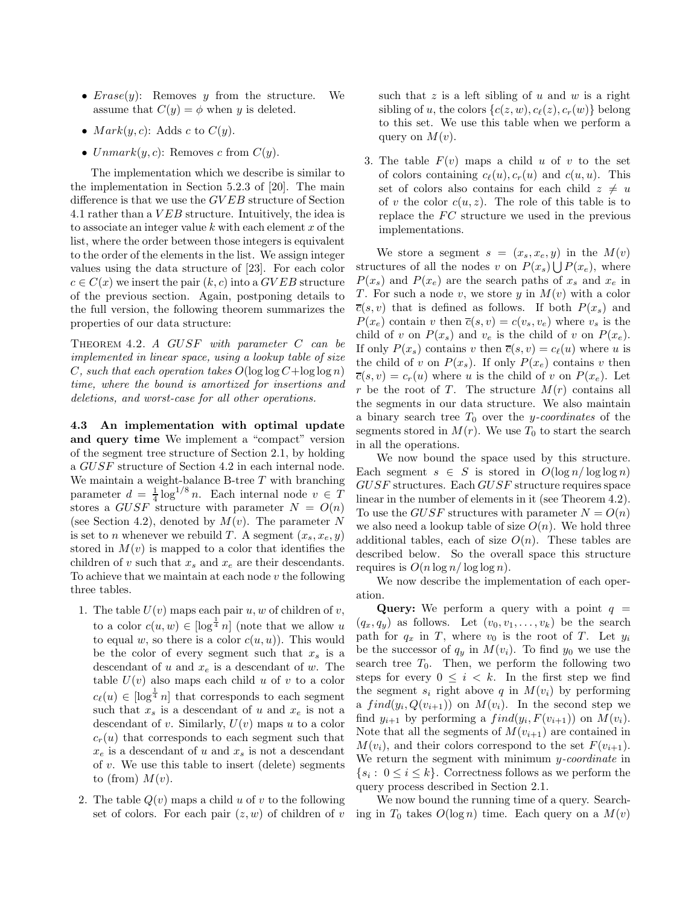- $Erase(y)$ : Removes y from the structure. We assume that  $C(y) = \phi$  when y is deleted.
- $Mark(y, c)$ : Adds c to  $C(y)$ .
- $Unmark(y, c)$ : Removes c from  $C(y)$ .

The implementation which we describe is similar to the implementation in Section 5.2.3 of [20]. The main difference is that we use the  $GVEB$  structure of Section 4.1 rather than a V EB structure. Intuitively, the idea is to associate an integer value  $k$  with each element  $x$  of the list, where the order between those integers is equivalent to the order of the elements in the list. We assign integer values using the data structure of [23]. For each color  $c \in C(x)$  we insert the pair  $(k, c)$  into a GVEB structure of the previous section. Again, postponing details to the full version, the following theorem summarizes the properties of our data structure:

Theorem 4.2. A GUSF with parameter C can be implemented in linear space, using a lookup table of size C, such that each operation takes  $O(\log \log C + \log \log n)$ time, where the bound is amortized for insertions and deletions, and worst-case for all other operations.

4.3 An implementation with optimal update and query time We implement a "compact" version of the segment tree structure of Section 2.1, by holding a GUSF structure of Section 4.2 in each internal node. We maintain a weight-balance B-tree  $T$  with branching parameter  $d = \frac{1}{4} \log^{1/8} n$ . Each internal node  $v \in T$ stores a GUSF structure with parameter  $N = O(n)$ (see Section 4.2), denoted by  $M(v)$ . The parameter N is set to *n* whenever we rebuild T. A segment  $(x_s, x_e, y)$ stored in  $M(v)$  is mapped to a color that identifies the children of v such that  $x_s$  and  $x_e$  are their descendants. To achieve that we maintain at each node v the following three tables.

- 1. The table  $U(v)$  maps each pair  $u, w$  of children of  $v$ , to a color  $c(u, w) \in [\log^{\frac{1}{4}} n]$  (note that we allow u to equal w, so there is a color  $c(u, u)$ ). This would be the color of every segment such that  $x_s$  is a descendant of u and  $x_e$  is a descendant of w. The table  $U(v)$  also maps each child u of v to a color  $c_{\ell}(u) \in [\log^{\frac{1}{4}} n]$  that corresponds to each segment such that  $x_s$  is a descendant of u and  $x_e$  is not a descendant of v. Similarly,  $U(v)$  maps u to a color  $c_r(u)$  that corresponds to each segment such that  $x_e$  is a descendant of u and  $x_s$  is not a descendant of  $v$ . We use this table to insert (delete) segments to (from)  $M(v)$ .
- 2. The table  $Q(v)$  maps a child u of v to the following set of colors. For each pair  $(z, w)$  of children of v

such that  $z$  is a left sibling of  $u$  and  $w$  is a right sibling of u, the colors  $\{c(z, w), c_{\ell}(z), c_r(w)\}$  belong to this set. We use this table when we perform a query on  $M(v)$ .

3. The table  $F(v)$  maps a child u of v to the set of colors containing  $c_{\ell}(u), c_r(u)$  and  $c(u, u)$ . This set of colors also contains for each child  $z \neq u$ of v the color  $c(u, z)$ . The role of this table is to replace the  $FC$  structure we used in the previous implementations.

We store a segment  $s = (x_s, x_e, y)$  in the  $M(v)$ structures of all the nodes v on  $P(x_s) \bigcup P(x_e)$ , where  $P(x_s)$  and  $P(x_e)$  are the search paths of  $x_s$  and  $x_e$  in T. For such a node v, we store y in  $M(v)$  with a color  $\overline{c}(s, v)$  that is defined as follows. If both  $P(x_s)$  and  $P(x_e)$  contain v then  $\overline{c}(s, v) = c(v_s, v_e)$  where  $v_s$  is the child of v on  $P(x_s)$  and  $v_e$  is the child of v on  $P(x_e)$ . If only  $P(x_s)$  contains v then  $\overline{c}(s, v) = c_{\ell}(u)$  where u is the child of v on  $P(x_s)$ . If only  $P(x_e)$  contains v then  $\overline{c}(s, v) = c_r(u)$  where u is the child of v on  $P(x_e)$ . Let r be the root of T. The structure  $M(r)$  contains all the segments in our data structure. We also maintain a binary search tree  $T_0$  over the y-coordinates of the segments stored in  $M(r)$ . We use  $T_0$  to start the search in all the operations.

We now bound the space used by this structure. Each segment  $s \in S$  is stored in  $O(\log n / \log \log n)$ GUSF structures. Each GUSF structure requires space linear in the number of elements in it (see Theorem 4.2). To use the GUSF structures with parameter  $N = O(n)$ we also need a lookup table of size  $O(n)$ . We hold three additional tables, each of size  $O(n)$ . These tables are described below. So the overall space this structure requires is  $O(n \log n / \log \log n)$ .

We now describe the implementation of each operation.

**Query:** We perform a query with a point  $q =$  $(q_x, q_y)$  as follows. Let  $(v_0, v_1, \ldots, v_k)$  be the search path for  $q_x$  in T, where  $v_0$  is the root of T. Let  $y_i$ be the successor of  $q_y$  in  $M(v_i)$ . To find  $y_0$  we use the search tree  $T_0$ . Then, we perform the following two steps for every  $0 \leq i \leq k$ . In the first step we find the segment  $s_i$  right above q in  $M(v_i)$  by performing a  $find(y_i, Q(v_{i+1}))$  on  $M(v_i)$ . In the second step we find  $y_{i+1}$  by performing a  $find(y_i, F(v_{i+1}))$  on  $M(v_i)$ . Note that all the segments of  $M(v_{i+1})$  are contained in  $M(v_i)$ , and their colors correspond to the set  $F(v_{i+1})$ . We return the segment with minimum y-coordinate in  $\{s_i: 0 \le i \le k\}$ . Correctness follows as we perform the query process described in Section 2.1.

We now bound the running time of a query. Searching in  $T_0$  takes  $O(\log n)$  time. Each query on a  $M(v)$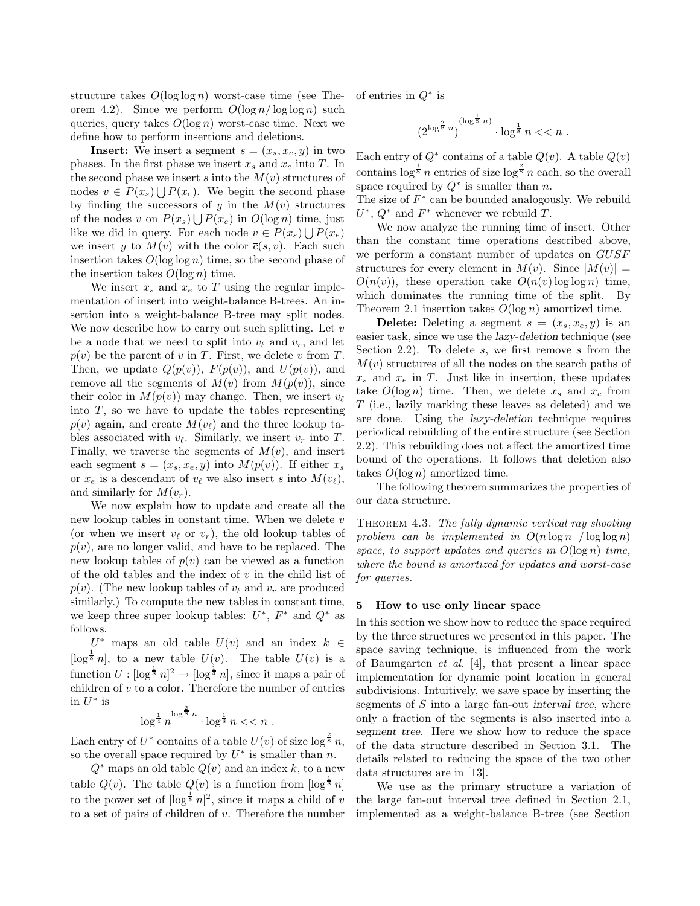structure takes  $O(\log \log n)$  worst-case time (see Theorem 4.2). Since we perform  $O(\log n / \log \log n)$  such queries, query takes  $O(\log n)$  worst-case time. Next we define how to perform insertions and deletions.

**Insert:** We insert a segment  $s = (x_s, x_e, y)$  in two phases. In the first phase we insert  $x_s$  and  $x_e$  into T. In the second phase we insert s into the  $M(v)$  structures of nodes  $v \in P(x_s) \bigcup P(x_e)$ . We begin the second phase by finding the successors of y in the  $M(v)$  structures of the nodes v on  $P(x_s) \bigcup P(x_e)$  in  $O(\log n)$  time, just like we did in query. For each node  $v \in P(x_s) \bigcup P(x_e)$ we insert y to  $M(v)$  with the color  $\overline{c}(s, v)$ . Each such insertion takes  $O(\log \log n)$  time, so the second phase of the insertion takes  $O(\log n)$  time.

We insert  $x_s$  and  $x_e$  to T using the regular implementation of insert into weight-balance B-trees. An insertion into a weight-balance B-tree may split nodes. We now describe how to carry out such splitting. Let  $v$ be a node that we need to split into  $v_{\ell}$  and  $v_r$ , and let  $p(v)$  be the parent of v in T. First, we delete v from T. Then, we update  $Q(p(v))$ ,  $F(p(v))$ , and  $U(p(v))$ , and remove all the segments of  $M(v)$  from  $M(p(v))$ , since their color in  $M(p(v))$  may change. Then, we insert  $v_{\ell}$ into  $T$ , so we have to update the tables representing  $p(v)$  again, and create  $M(v_{\ell})$  and the three lookup tables associated with  $v_{\ell}$ . Similarly, we insert  $v_r$  into T. Finally, we traverse the segments of  $M(v)$ , and insert each segment  $s = (x_s, x_e, y)$  into  $M(p(v))$ . If either  $x_s$ or  $x_e$  is a descendant of  $v_\ell$  we also insert s into  $M(v_\ell)$ , and similarly for  $M(v_r)$ .

We now explain how to update and create all the new lookup tables in constant time. When we delete  $v$ (or when we insert  $v_{\ell}$  or  $v_r$ ), the old lookup tables of  $p(v)$ , are no longer valid, and have to be replaced. The new lookup tables of  $p(v)$  can be viewed as a function of the old tables and the index of  $v$  in the child list of  $p(v)$ . (The new lookup tables of  $v_{\ell}$  and  $v_r$  are produced similarly.) To compute the new tables in constant time, we keep three super lookup tables:  $U^*$ ,  $F^*$  and  $Q^*$  as follows.

 $U^*$  maps an old table  $U(v)$  and an index  $k \in$ [ $\log^{\frac{1}{8}} n$ ], to a new table  $U(v)$ . The table  $U(v)$  is a function  $U : [\log^{\frac{1}{8}} n]^2 \to [\log^{\frac{1}{4}} n]$ , since it maps a pair of children of  $v$  to a color. Therefore the number of entries in  $U^*$  is 2

$$
\log^{\frac{1}{4}} n^{\log^{\frac{2}{8}} n} \cdot \log^{\frac{1}{8}} n << n .
$$

Each entry of  $U^*$  contains of a table  $U(v)$  of size  $\log^{\frac{2}{8}} n$ , so the overall space required by  $U^*$  is smaller than n.

 $Q^*$  maps an old table  $Q(v)$  and an index k, to a new table  $Q(v)$ . The table  $Q(v)$  is a function from  $\lceil \log^{\frac{1}{8}} n \rceil$ to the power set of  $\left[\log^{\frac{1}{8}} n\right]^2$ , since it maps a child of v to a set of pairs of children of  $v$ . Therefore the number of entries in  $Q^*$  is

$$
(2^{\log^{\frac{2}{8}}n})^{(\log^{\frac{1}{8}}n)}\cdot \log^{\frac{1}{8}}n << n\ .
$$

Each entry of  $Q^*$  contains of a table  $Q(v)$ . A table  $Q(v)$ contains  $\log^{\frac{1}{8}} n$  entries of size  $\log^{\frac{2}{8}} n$  each, so the overall space required by  $Q^*$  is smaller than n.

The size of  $F^*$  can be bounded analogously. We rebuild  $U^*, Q^*$  and  $F^*$  whenever we rebuild T.

We now analyze the running time of insert. Other than the constant time operations described above, we perform a constant number of updates on GUSF structures for every element in  $M(v)$ . Since  $|M(v)| =$  $O(n(v))$ , these operation take  $O(n(v) \log \log n)$  time, which dominates the running time of the split. By Theorem 2.1 insertion takes  $O(\log n)$  amortized time.

**Delete:** Deleting a segment  $s = (x_s, x_e, y)$  is an easier task, since we use the lazy-deletion technique (see Section 2.2). To delete s, we first remove s from the  $M(v)$  structures of all the nodes on the search paths of  $x_s$  and  $x_e$  in T. Just like in insertion, these updates take  $O(\log n)$  time. Then, we delete  $x_s$  and  $x_e$  from T (i.e., lazily marking these leaves as deleted) and we are done. Using the lazy-deletion technique requires periodical rebuilding of the entire structure (see Section 2.2). This rebuilding does not affect the amortized time bound of the operations. It follows that deletion also takes  $O(\log n)$  amortized time.

The following theorem summarizes the properties of our data structure.

Theorem 4.3. The fully dynamic vertical ray shooting problem can be implemented in  $O(n \log n / \log \log n)$ space, to support updates and queries in  $O(\log n)$  time, where the bound is amortized for updates and worst-case for queries.

## 5 How to use only linear space

In this section we show how to reduce the space required by the three structures we presented in this paper. The space saving technique, is influenced from the work of Baumgarten et al. [4], that present a linear space implementation for dynamic point location in general subdivisions. Intuitively, we save space by inserting the segments of  $S$  into a large fan-out interval tree, where only a fraction of the segments is also inserted into a segment tree. Here we show how to reduce the space of the data structure described in Section 3.1. The details related to reducing the space of the two other data structures are in [13].

We use as the primary structure a variation of the large fan-out interval tree defined in Section 2.1, implemented as a weight-balance B-tree (see Section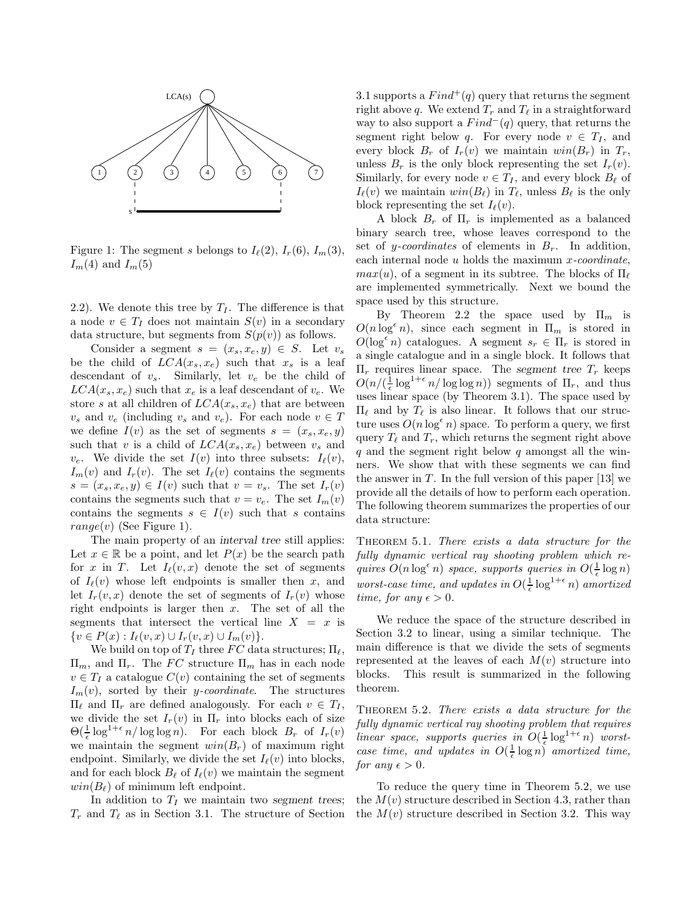

Figure 1: The segment s belongs to  $I_{\ell}(2)$ ,  $I_{r}(6)$ ,  $I_{m}(3)$ ,  $I_m(4)$  and  $I_m(5)$ 

2.2). We denote this tree by  $T_I$ . The difference is that a node  $v \in T_I$  does not maintain  $S(v)$  in a secondary data structure, but segments from  $S(p(v))$  as follows.

Consider a segment  $s = (x_s, x_e, y) \in S$ . Let  $v_s$ be the child of  $LCA(x_s, x_e)$  such that  $x_s$  is a leaf descendant of  $v_s$ . Similarly, let  $v_e$  be the child of  $LCA(x_s, x_e)$  such that  $x_e$  is a leaf descendant of  $v_e$ . We store s at all children of  $LCA(x_s, x_e)$  that are between  $v_s$  and  $v_e$  (including  $v_s$  and  $v_e$ ). For each node  $v \in T$ we define  $I(v)$  as the set of segments  $s = (x_s, x_e, y)$ such that v is a child of  $LCA(x_s, x_e)$  between  $v_s$  and  $v_e$ . We divide the set  $I(v)$  into three subsets:  $I_{\ell}(v)$ ,  $I_m(v)$  and  $I_r(v)$ . The set  $I_\ell(v)$  contains the segments  $s = (x_s, x_e, y) \in I(v)$  such that  $v = v_s$ . The set  $I_r(v)$ contains the segments such that  $v = v_e$ . The set  $I_m(v)$ contains the segments  $s \in I(v)$  such that s contains  $range(v)$  (See Figure 1).

The main property of an interval tree still applies: Let  $x \in \mathbb{R}$  be a point, and let  $P(x)$  be the search path for x in T. Let  $I_{\ell}(v, x)$  denote the set of segments of  $I_{\ell}(v)$  whose left endpoints is smaller then x, and let  $I_r(v, x)$  denote the set of segments of  $I_r(v)$  whose right endpoints is larger then  $x$ . The set of all the segments that intersect the vertical line  $X = x$  is  $\{v \in P(x) : I_{\ell}(v, x) \cup I_r(v, x) \cup I_m(v)\}.$ 

We build on top of  $T_I$  three FC data structures;  $\Pi_{\ell}$ ,  $\Pi_m$ , and  $\Pi_r$ . The FC structure  $\Pi_m$  has in each node  $v \in T_I$  a catalogue  $C(v)$  containing the set of segments  $I_m(v)$ , sorted by their *y-coordinate*. The structures  $\Pi_\ell$  and  $\Pi_r$  are defined analogously. For each  $v \in T_I$ , we divide the set  $I_r(v)$  in  $\Pi_r$  into blocks each of size  $\Theta(\frac{1}{\epsilon}\log^{1+\epsilon} n/\log\log n)$ . For each block  $B_r$  of  $I_r(v)$ we maintain the segment  $win(B_r)$  of maximum right endpoint. Similarly, we divide the set  $I_{\ell}(v)$  into blocks, and for each block  $B_\ell$  of  $I_\ell(v)$  we maintain the segment  $win(B_\ell)$  of minimum left endpoint.

In addition to  $T_I$  we maintain two segment trees;  $T_r$  and  $T_\ell$  as in Section 3.1. The structure of Section

3.1 supports a  $Find^+(q)$  query that returns the segment right above q. We extend  $T_r$  and  $T_\ell$  in a straightforward way to also support a  $Find^-(q)$  query, that returns the segment right below q. For every node  $v \in T_I$ , and every block  $B_r$  of  $I_r(v)$  we maintain  $win(B_r)$  in  $T_r$ , unless  $B_r$  is the only block representing the set  $I_r(v)$ . Similarly, for every node  $v \in T_I$ , and every block  $B_\ell$  of  $I_{\ell}(v)$  we maintain  $win(B_{\ell})$  in  $T_{\ell}$ , unless  $B_{\ell}$  is the only block representing the set  $I_{\ell}(v)$ .

A block  $B_r$  of  $\Pi_r$  is implemented as a balanced binary search tree, whose leaves correspond to the set of y-coordinates of elements in  $B_r$ . In addition, each internal node  $u$  holds the maximum  $x$ -coordinate,  $max(u)$ , of a segment in its subtree. The blocks of  $\Pi_{\ell}$ are implemented symmetrically. Next we bound the space used by this structure.

By Theorem 2.2 the space used by  $\Pi_m$  is  $O(n \log^{\epsilon} n)$ , since each segment in  $\Pi_m$  is stored in  $O(\log^{\epsilon} n)$  catalogues. A segment  $s_r \in \Pi_r$  is stored in a single catalogue and in a single block. It follows that  $\Pi_r$  requires linear space. The segment tree  $T_r$  keeps  $O(n/(\frac{1}{\epsilon} \log^{1+\epsilon} n/\log \log n))$  segments of  $\Pi_r$ , and thus uses linear space (by Theorem 3.1). The space used by  $\Pi_\ell$  and by  $T_\ell$  is also linear. It follows that our structure uses  $O(n \log^{\epsilon} n)$  space. To perform a query, we first query  $T_{\ell}$  and  $T_r$ , which returns the segment right above  $q$  and the segment right below  $q$  amongst all the winners. We show that with these segments we can find the answer in  $T$ . In the full version of this paper [13] we provide all the details of how to perform each operation. The following theorem summarizes the properties of our data structure:

THEOREM 5.1. There exists a data structure for the fully dynamic vertical ray shooting problem which requires  $O(n \log^{\epsilon} n)$  space, supports queries in  $O(\frac{1}{\epsilon} \log n)$ worst-case time, and updates in  $O(\frac{1}{\epsilon} \log^{1+\epsilon} n)$  amortized time, for any  $\epsilon > 0$ .

We reduce the space of the structure described in Section 3.2 to linear, using a similar technique. The main difference is that we divide the sets of segments represented at the leaves of each  $M(v)$  structure into blocks. This result is summarized in the following theorem.

THEOREM 5.2. There exists a data structure for the fully dynamic vertical ray shooting problem that requires linear space, supports queries in  $O(\frac{1}{\epsilon} \log^{1+\epsilon} n)$  worstcase time, and updates in  $O(\frac{1}{\epsilon} \log n)$  amortized time, for any  $\epsilon > 0$ .

To reduce the query time in Theorem 5.2, we use the  $M(v)$  structure described in Section 4.3, rather than the  $M(v)$  structure described in Section 3.2. This way